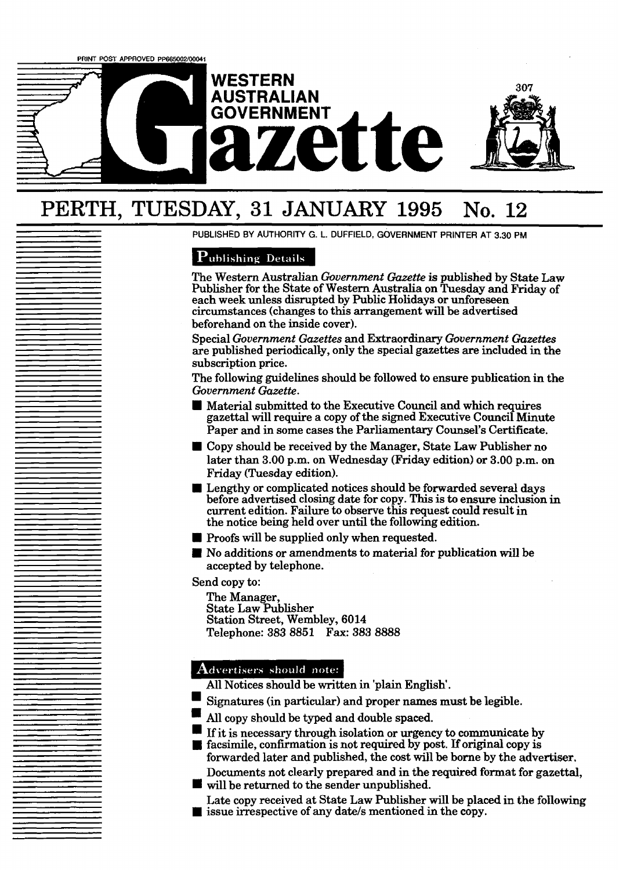

# PERTH, **TUESDAY, 31 JANUARY 1995 No. 12**

**PUBLISHED BY AUTHORITY G. L. DUFFIELD, GOVERNMENT PRINTER AT 3.30 PM** 

# **Publishing Details**

The Western Australian *Government Gazette* is published by State Law Publisher for the State of Western Australia on Tuesday and Friday of each week unless disrupted by Public Holidays or unforeseen circumstances (changes to this arrangement will be advertised beforehand on the inside cover).

Special *Government Gazettes* and Extraordinary *Government Gazettes*  are published periodically, only the special gazettes are included in the subscription price.

The following guidelines should be followed to ensure publication in the *Government Gazette.* 

- Material submitted to the Executive Council and which requires gazettal will require a copy of the signed Executive Council Minute Paper and in some cases the Parliamentary Counsel's Certificate.
- Copy should be received by the Manager, State Law Publisher no later than **3.00** p.m. on Wednesday (Friday edition) or **3.00** p.m. on Friday (Tuesday edition).
- Lengthy or complicated notices should be forwarded several days before advertised closing date for copy. This is to ensure inclusion in current edition. Failure to observe this request could result in the notice being held over until the following edition.
- **Proofs will be supplied only when requested.**
- No additions or amendments to material for publication will be accepted by telephone.

Send copy to:

The Manager, State Law Publisher Station Street, Wembley, **6014**  Telephone: **383 8851 Fax: 383 8888** 

# Advertisers should note:

- All Notices should be written in 'plain English'.
- Signatures (in particular) and proper names **must** be legible.
- All copy should be typed and double spaced.
- If it is necessary through isolation or **urgency** to communicate by
- $\blacksquare$  facsimile, confirmation is not required by post. If original copy is forwarded later **and** published, the cost will be borne by the advertiser,

Documents not clearly prepared and in the required format for gazettal, will be returned to the sender unpublished.

Late copy received at State Law Publisher will be placed in the following issue irrespective of any date/s mentioned in the copy.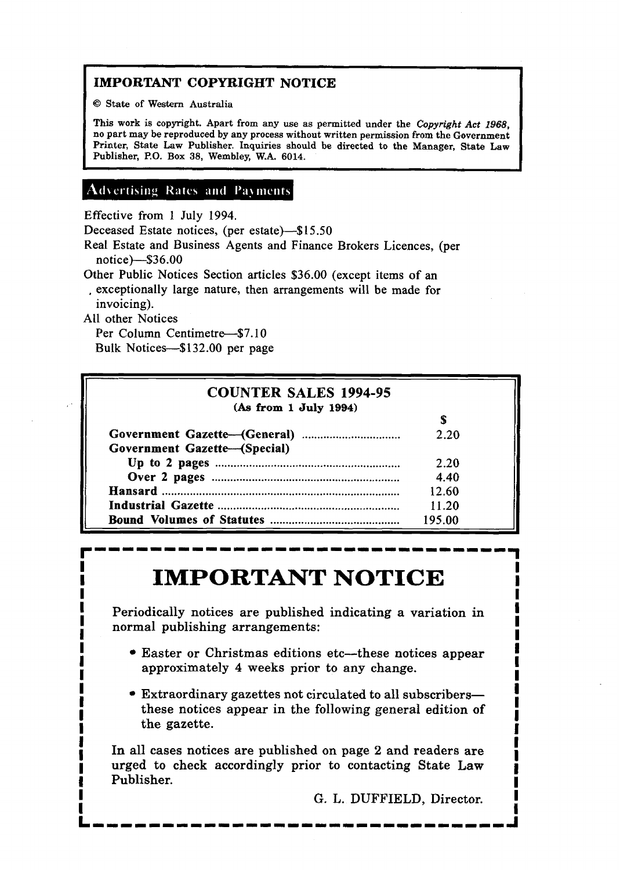# **IMPORTANT COPYRIGHT NOTICE**

I **Q State of Western Australia** 

**This work is copyright. Apart from any use as permitted under the** *Copyright* **Act 1968, no part may be reproduced by any process without written permission from the Government Printer, State Law Publisher. Inquiries should be directed to the Manager, State Law Publisher, P.O. Box 38, Wembley, W.A. 6014.** 

# **Advertising Rates and Payments**

Effective from l July 1994.

Deceased Estate notices, (per estate)-\$15.50

Real Estate and Business Agents and Finance Brokers Licences, (per notice)--\$36.00

Other Public Notices Section articles \$36.00 (except items of an

, exceptionally large nature, then arrangements will be made for invoicing).

All other Notices

Per Column Centimetre-\$7.10 Bulk Notices-\$132.00 per page

# **COUNTER SALES 1994-95 (As from 1 July 1994)**  \$ **Government Gazett-General)** ................................ 2.20 Government Gazette-(Special) **Up to 2 pages** ............................................................ 2 20 **Over** 2 **pages** ............................................................. 4.40 **Hansard** ............................................................................. 12.60 **Industrial Gazette** ........................................................... 11.20 **Bound Volumes of Statutes** .......................................... 195.00

# **IMPORTANT NOTICE I''** I'LL ORTAIN TOTICE

**I** Periodically notices are published indicating a variation in **I I**normal publishing arrangements:<br> **I**normal publishing arrangements:<br> **I** 

- **I** Easter or Christmas editions etc-these notices appear **I Easter or Christmas editions etc—these notices appear**<br>approximately 4 weeks prior to any change. approximately 4 weeks prior to any change.
- **I**<br>■ Extraordinary gazettes not circulated to all subscribers-**Extraordinary gazettes not circulated to all subscribers**—<br>these notices appear in the following general edition of these notices appear in the following general edition of the gazette. the gazette.

**1**<br>**1**<br>**1** In all cases notices are published on page 2 and readers are **I** In all cases notices are published on page 2 and readers are **I 1** urged to check accordingly prior to contacting State **Law <sup>1</sup>**Publisher. **I** 

**I**<br>**I G. L. DUFFIELD, Director. I** I

**I**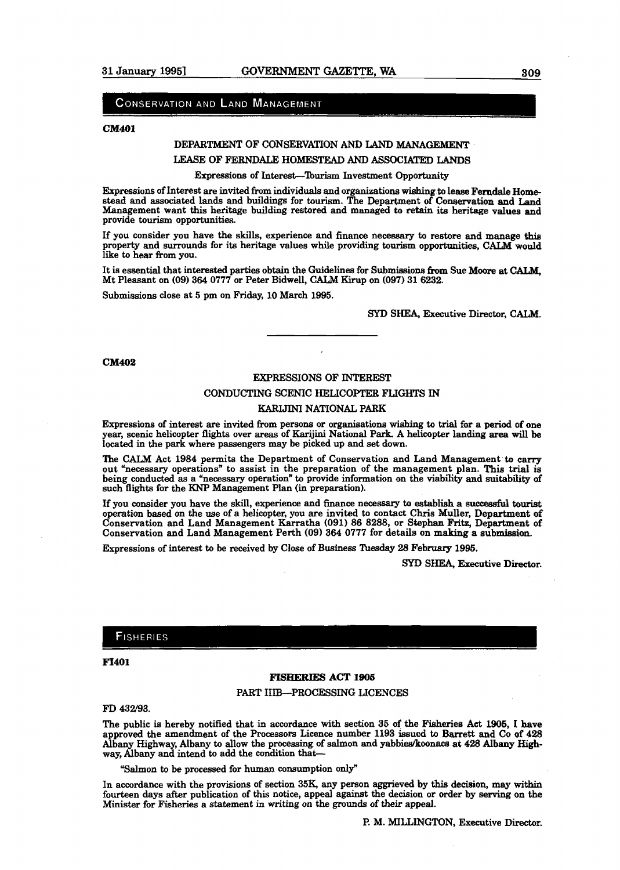## CONSERVATION AND LAND MANAGEMENT

#### **CM401**

# DEPARTMENT OF CONSERVATION AND LAND MANAGEMENT

#### LEASE OF **FERNDALE HOMESTEAD** AND **ASSOCIATED LANDS**

#### Expressions of Interest-'Iburism Investment Opportunity

Expressions of Interest are invited from individuals and organizations **wiahing** to leaae **Feradale Home**  stead and associated lands and buildings for tourism. The Depaxtment of Conservation and Land Management want this heritage building restored and managed **to retain** its heritage values and provide tourism opportunities.

If you consider you have the skills, experience and **finance** necessary to restore and manage **this**  property and **surrounds** for its heritage values while providing tourism opportunities, *CALM* **would**  like **to** hear from you.

It is essential that interested parties obtain the Guidelines for Submissions **fiom** Sue **Moore** at CALM, Mt Pleasant on (09) 364 0777 or Peter Bidwell, CALM Kirup on (097) 31 6232.

Submissions close at 5 pm on Friday, 10 March 1995.

#### SYD SHEA, Executive Director, CALM.

#### **CM402**

#### EXPRESSIONS OF INTEREST

#### CONDUCTING SCENIC HELICOPTER FLIGHTS **IN**

#### KARIJINI NATIONAL PARK

Expressions of interest are invited from persons or organisations wishing to **trial** for a period of one year, scenic helicopter flights over areas of **Karijini** National Park. A helicopter landing area will be located in the park where passengers may be picked up and set down.

The CM Act 1984 permits the Department of Conservation and Land Management **to** carry out "necessary operations" to assist in the preparation of the management plan. This trial is being conducted as a "necessary operation" to provide information on the viability and suitability of such flights for the **KNP** Management Plan (in preparation).

If you consider you have the skill, experience and finance necessary to establish a successful tourist operation based on the use of a helicopter, you are invited to contact Chris Muller, Department of Conservation and Land Management Karratha (091) 86 8288, or Stephan Fritz, Department of Conservation and Land Management P

Expressions of interest to be received by Close of Business **Tuesday** 28 February 1995.

**SYD SHEA,** Executive Director.

# **FISHERIES**

#### **FI401**

# **FISHERIES** ACT **1905**  PART IIIB-PROCESSING LICENCES

FD 432/93.

The public is hereby notified that in accordance with section 35 of **the** Fisheries Act **1905,** I have approved the amendment of the Processors Licence number 1193 issued to Barrett and Co of 428 Albany **Highway,** Albany to allow the processing of salmon and yabbiea/koonacs **at 428** Albany **Egh**way, Albany and intend to add the condition that-

**"Salmon** to be processed for human consumption only"

In accordance with the provisions of section **35K,** any person aggrieved by this decision, **may** within fourteen days after publication of this notice, appeal against the decision or order by **serving** on the Minister for Fisheries a statement in writing on the **grounds** of *their* appeal.

P. M. **MILLINGTON,** Executive **Director.**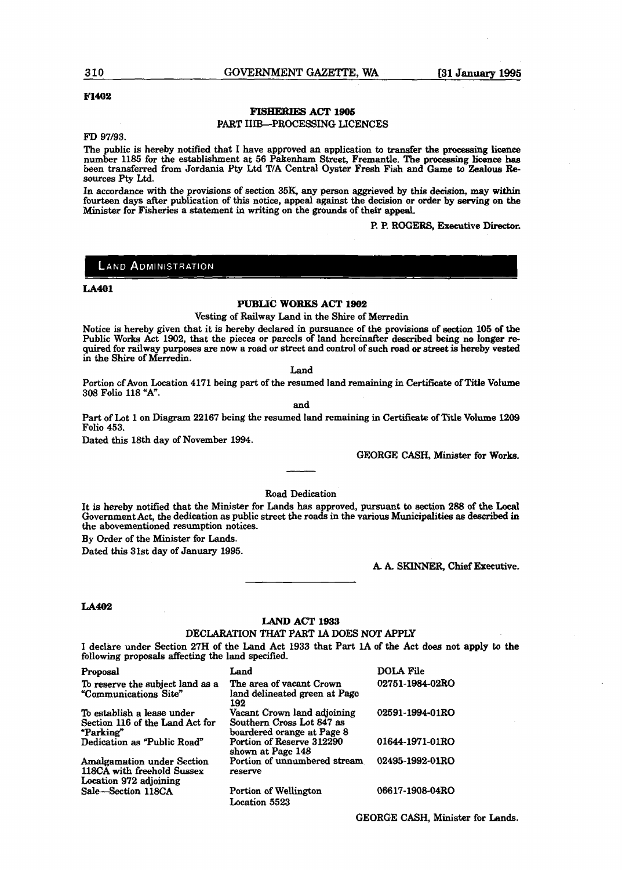#### 310 **GOVERNMENT GAZETTE, WA** [31 January 1995

#### **F1402**

#### **FISHE&IES ACT 1905**

#### PART IIIB-PROCESSING LICENCES

**FD** 97/93.

The public is hereby notified that I have approved an application to transfer the processing licence number 1185 for the establishment at 56 Pakenham Street, Fremantle. The processing licence **has**  been transferred from Jordaoia Pty **Ltd** TIA Central Oyster Fresh Fish **and** Game **to** Zealous Resources Pty Ltd.

In accordance **with** the provisions of section **35K** any person aggrieved by this decision, **may** within fourteen days after publication of **this** notice, appeal against the decision or order by **serving** on **the**  Minister for Fisheries a statement in writing on the **grounds** of their appeal.

P. P. ROGERS, Executive Director.

#### **LAND ADMINISTRATION**

#### **LA401**

#### **PUBLIC WORKS ACT 1902**

Vesting of Railway Land in the Shire of Merredin

Notice is hereby given that it is hereby declared in pursuance of the provisions of section 105 of the Public Works Act 1902, that the pieces or parcels of land hereinafter described being no longer required for railway purposes are now a road or street and control of such road or street is hereby **vested**  in the Shire of Merredin.

Land

Portion cfAvon Location 4171 being part of the resumed land remaining in Certificate of Title Volume 308 Folio 118 "A".

and

Part of Lot 1 on Diagram 22167 being the resumed land remaining in Certificate of Title **Volume** 1209 Folio 453.

Dated this 18th day of November 1994.

GEORGE **CASH,** Minister for Works.

Road Dedication

It is hereby notified that the Minister for Lands has approved, pursuant **to** section 288 of the Local Government Act, the dedication as public street the roads in the various Municipalities **as described** in the abovementioned resumption notices.

By Order of the Minister for **Lands.** 

Dated this 31st day of January 1995.

**A. k SKINNER,** Chief **Executive.** 

#### **LA402**

# **LAND ACT 1953**

DECLARATION **THAT** PART **1A DOES NOT APPLY**  I declhre under Section 27H of the Land Act 1933 that Part 1A of the Act **does** not apply **to** the following proposals affecting the land specified.

| Proposal                                                                                  | Land                                                                                   | <b>DOLA File</b> |
|-------------------------------------------------------------------------------------------|----------------------------------------------------------------------------------------|------------------|
| To reserve the subject land as a<br>"Communications Site"                                 | The area of vacant Crown<br>land delineated green at Page<br>192                       | 02751-1984-02RO  |
| To establish a lease under<br>Section 116 of the Land Act for<br>"Parking"                | Vacant Crown land adioining<br>Southern Cross Lot 847 as<br>boardered orange at Page 8 | 02591-1994-01RO  |
| Dedication as "Public Road"                                                               | Portion of Reserve 312290<br>shown at Page 148                                         | 01644-1971-01RO  |
| <b>Amalgamation under Section</b><br>118CA with freehold Sussex<br>Location 972 adjoining | Portion of unnumbered stream<br>reserve                                                | 02495-1992-01RO  |
| Sale-Section 118CA                                                                        | Portion of Wellington<br>Location 5523                                                 | 06617-1908-04RO  |

GEORGE CASH, Minister for **Lands.**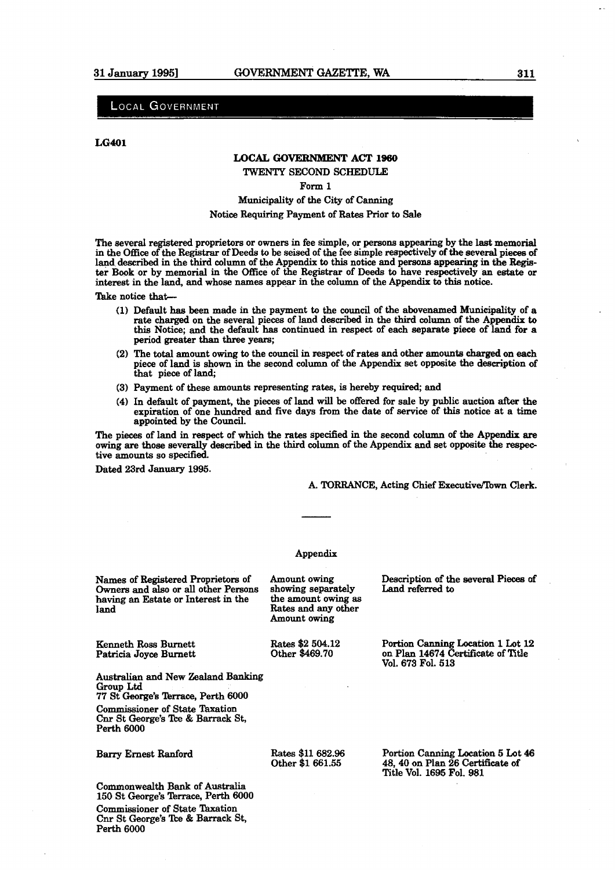# **LOCAL GOVERNMENT**

**LG401** 

## **LOCAL GOVERNMENT ACT 1960**

TWENTY SECOND SCHEDULE

#### Form **1**

#### Municipality of the City of Canning

#### Notice Requiring Payment of Rates Prior to Sale

The several registered proprietors or owners in fee simple, or persons appearing by the last memorial in the Office of the Registrar of Deeds to be seised of the fee simple respectively of the several pieces of land described in the third column of the Appendix to this notice and persons appearing in the Register **Book** or by memorial in the Office of the Registrar of Deeds to have respectively an estate or interest in the land, and whose names appear in the column of the Appendix to **this** notice.

Take notice that

- **(1)** Default **has** been made in the payment to the council of the abovenamed Municipalits of a rate charged on the several pieces of land described in the third column of the Appendix to this Notice; and the default **has** continued in respect of each separate piece of land for a period greater than three years;
- (2) The **total** amount owing to the council in respect of rates and other amounts **charged** on **each**  piece of land is shown in the second column of the Appendix set opposite the description of that piece of land;
- **(3)** Payment of these amounts representing rates, is hereby required; and
- **(4)** In default of payment, the pieces of land will be offered for sale by public auction **after** the expiration of one hundred and five days from the date of service of **this** notice at a time appointed by the Council.

The pieces of land in respect of which the rates specified in the second column of the Appendix are owing are those severally described in the third column of the Appendix and set opposite the respective amounts so specified.

Dated 23rd January **1995.** 

A. TORRANCE, Acting Chief Executive/Town Clerk.

#### Appendix

Rates and any other<br>Amount owing

Rates \$2 504.12 Other **\$469.70** 

Names of Registered Proprietors of Amount owing Description **of** the several **Pieces of**  Owners and also or all other Persons showing separately having an Estate or Interest in the the amount owing as having an Estate or Interest in the land

Kemeth **Ross** Burnett Patricia Joyce Burnett

**Australian** and New Zealand Banking **Group Ltd**  77 St George's Terrace, Perth 6000 Commissioner of State Taxation Cnr St George's **Tce** & Barrack St, Perth **6000** 

#### **Barry Ernest Ranford**

Rates **\$11** 682.96 Other **\$1** 661.55

Portion Canning Location **1** Lot 12 on Plan 14674 Certificate of Title Vol. 673 Fol. **513** 

Portion Canning Location 5 Lot 46 **48,40** on Plan **26 Certificate** of Title Vol. **1695** Fol. **\$381** 

Commonwealth **Bank** of Australia **150** St *George's* Terrace, Perth **6000**  Commissioner of State Taxation Cnr St George's **Tce** & Barrack St, Perth **6000**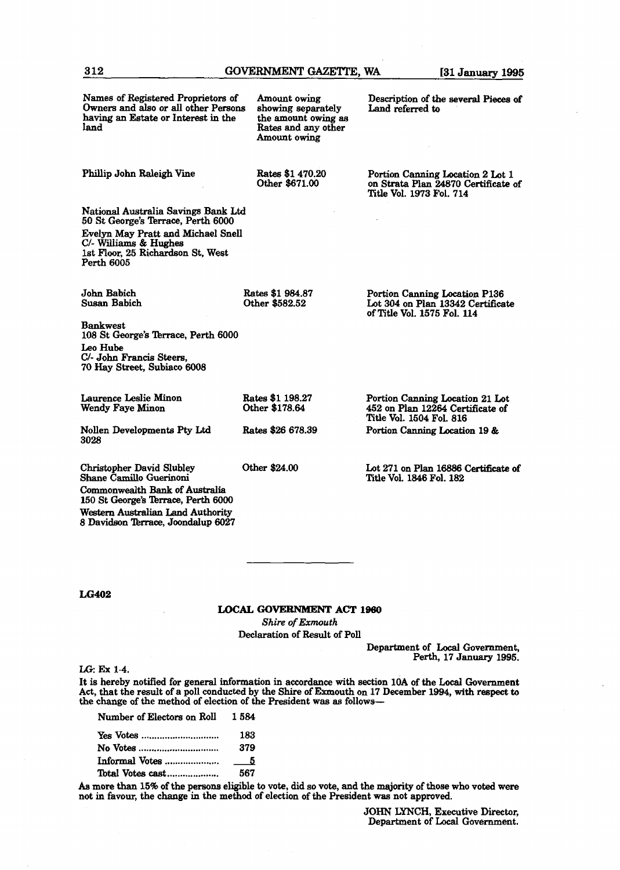| Names of Registered Proprietors of<br>Owners and also or all other Persons<br>having an Estate or Interest in the<br>land | Amount owing<br>showing separately<br>the amount owing as<br>Rates and any other<br>Amount owing | Description of the several Pieces of<br>Land referred to                                            |
|---------------------------------------------------------------------------------------------------------------------------|--------------------------------------------------------------------------------------------------|-----------------------------------------------------------------------------------------------------|
| Phillip John Raleigh Vine                                                                                                 | Rates \$1 470.20<br>Other \$671.00                                                               | Portion Canning Location 2 Lot 1<br>on Strata Plan 24870 Certificate of<br>Title Vol. 1973 Fol. 714 |
| National Australia Savings Bank Ltd<br>50 St George's Terrace, Perth 6000                                                 |                                                                                                  |                                                                                                     |
| Evelyn May Pratt and Michael Snell<br>C/- Williams & Hughes<br>1st Floor, 25 Richardson St, West<br>Perth 6005            |                                                                                                  |                                                                                                     |
| John Babich<br><b>Susan Babich</b>                                                                                        | Rates \$1 984.87<br>Other \$582.52                                                               | Portion Canning Location P136<br>Lot 304 on Plan 13342 Certificate<br>of Title Vol. 1575 Fol. 114   |
| <b>Bankwest</b><br>108 St George's Terrace, Perth 6000                                                                    |                                                                                                  |                                                                                                     |
| Leo Hube<br>C/- John Francis Steers,<br>70 Hay Street, Subiaco 6008                                                       |                                                                                                  |                                                                                                     |
| Laurence Leslie Minon<br>Wendy Faye Minon                                                                                 | Rates \$1 198.27<br>Other \$178.64                                                               | Portion Canning Location 21 Lot<br>452 on Plan 12264 Certificate of<br>Title Vol. 1504 Fol. 816     |
| Nollen Developments Pty Ltd<br>3028                                                                                       | Rates \$26 678.39                                                                                | Portion Canning Location 19 &                                                                       |
| <b>Christopher David Slubley</b><br>Shane Camillo Guerinoni                                                               | Other \$24.00                                                                                    | Lot 271 on Plan 16886 Certificate of<br>Title Vol. 1846 Fol. 182                                    |
| <b>Commonwealth Bank of Australia</b><br>150 St George's Terrace, Perth 6000                                              |                                                                                                  |                                                                                                     |
| Western Australian Land Authority                                                                                         |                                                                                                  |                                                                                                     |

#### **LOCAL GOWRNMENT ACT l960**

**Shire of** *Exmouth* 

Declaration of Result of Poll

Department of Local Government, Perth, **17 January** 1995.

LG: Ex 1-4.

It is hereby notified for general information **in** accordance **with** section **10A** of the Local Government Act, that the result of a poll conducted by the Shire of Exmouth on **17 December** 1994, **with reepecf to**  the change of the method of election of the President was as follows-

| Number of Electors on Roll | 1.584 |
|----------------------------|-------|
|                            | 183   |
| No Votes                   | 379   |
|                            |       |
| Total Votes cast           | 567   |

8 Davidson Tbrrace, Joondalup **6027** 

As more than 15% of the persons eligible to vote, did so vote, and the majority of those who voted were not in favour, the change in the method of election of the President **was** not approved.

> **JOHN LYNCH, Executive** Director, Department of **Local** Government.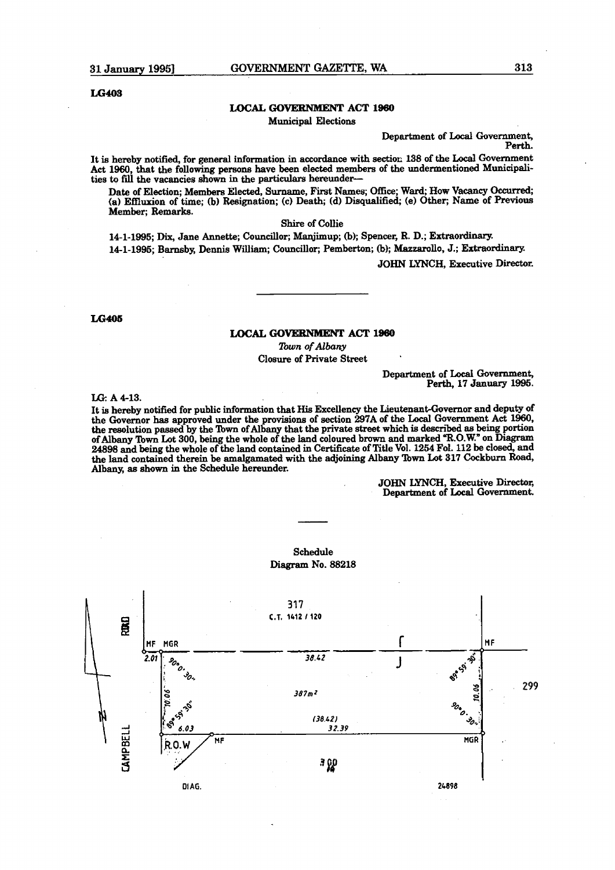# **LOCAL GOVERNMENT ACT 1960**

Municipal Elections

Department of **Local** Government,

Perth.

It is hereby notified, for general information in accordance with sectior: **138** of the **Local** Government Act **1960,** that the following **persons** have **been** elected members of the undermentioned Municipalities to fill the vacancies shown in the particulars hereunder-

Date of Election; **Members** Elected, Surname, First Names; **Ofice; Ward;** How **Vacancy** Ckcupd; (a) Effluxion of time; (b) Resignation; (c) Death; (d) Disqualified; (e) Other; Name of Previous Member; Remarks.

Shire of Collie

**14-1-1995; Dix,** Jane Annette; Councillor; Maqjimup; (b); **Spencer, R.** D.; **Extraordinary. 141-1995;** Bamsby, Dennia **William;** Councillor; Pemberton; (b); **Mazzarollo,** J.; Extraordinary.

**JOHN LYNCH,** Executive Director.

**LG405** 

#### **LOCAL GOVEBNMENT ACT 1960**

*lbwn* **of Albany**  Closure of Private Street

#### Department of **Locd** Government, **Perth,** 17 January **1995.**

**L& A 4-13.** 

It is hereby notified for public information that **His** Excellency the Lieutenant-Governor and deputy of the Governor has approved under the provisions of section 297A of the Local Government Act 1960, the resolution passed by the **Town** of Albany that the private street which is described **as being** portion of Albany **Town** Lot **300,** being the whole of the land coloured brown and marked **'II.0.W."** on **Diagram 24898** and being the whole of the land contained in Certificate of Title Vol. 1254 Fol. **112** be closed, and the land contained therein be amalgamated with the adjoining **Albany lbwn** Lot **317 Cockburn Road,**  Albany, **as** shown in the Schedule hereunder.

> JOHN **LYNCH, Executive** Director, Department of Local Government.



Schedule Diagram No. **88218**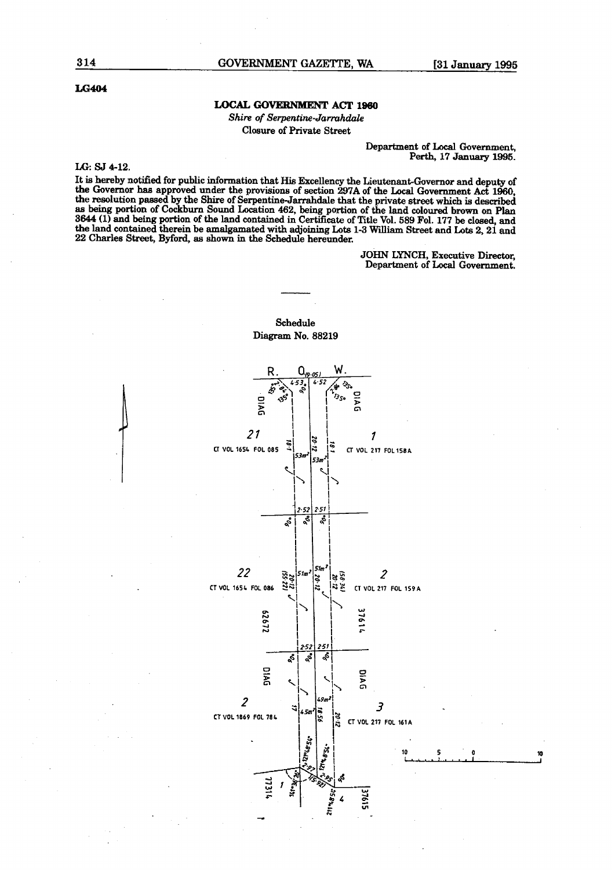## **LOCAL GOVERNMENT ACT lssO**

Shire **of** *Serpentine-Jamhdale*  **Closure of Private Street** 

> **Department of Local Government,** Perth, 17 **January** 1996.

#### LG: SJ 4-12.

It **is** hereby notified for public information that **His** Excellency the Lieutenant-Governor and **depuw of**  the Governor **has** approved under the provisions of section **297A** of the **Local** Government **Act** 1960, the resolution passed by the Shire of Serpentine-Jarrahdale that the private street which is described **as being** portion of Cockburn Sound Location 462, being portion of the land coloured **brown** on **Plan**  3644 (1) and being portion of the land contained in Certificate of Title Vol. 589 Fol. 177 be closed, and the land contained therein be amalgamated with adjoining Lots 1-3 William Street and Lots 2, 21 and **22 Charles** Street, **Byford,** as shown in the Schedule hereunder.

> JOHN **LYNCH,** Executive Director, Department of Local Government.

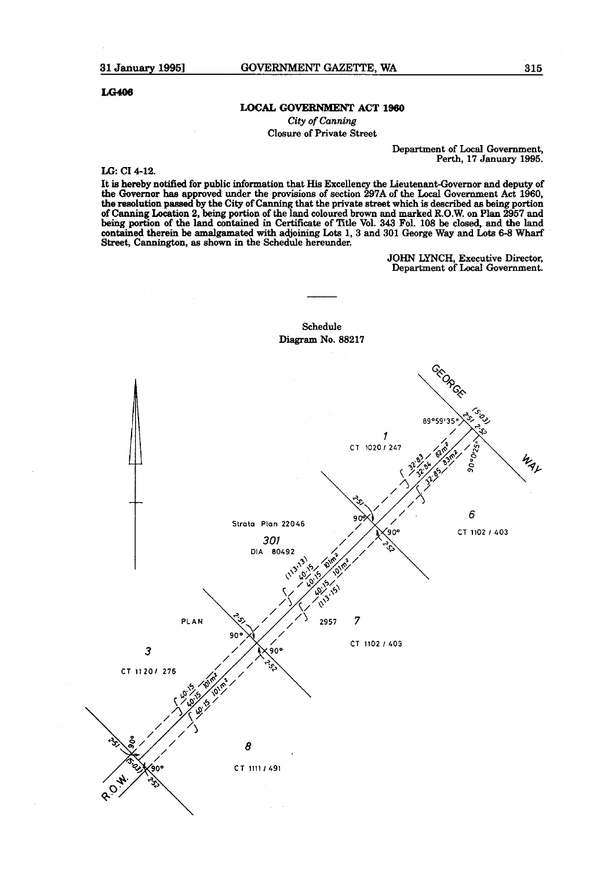#### **LOCAL GOVERNMENT ACT 1960**

**City of** *Canning*  Closure of Private Street

> Department of Local Government, Perth, 17 January **1995.**

**IX;:** C1 4-12.

It is **hereby** notified for public information that His Excellency the Lieutenant-Governor **and** deputy of the Governor has approved under the provisions of section **297A** of the **Local** Government **Act** 1960, **the** reeolution **p4** by the City of Canning that the private **street** which is described **ae being** portion of **Canning** Location 2, **being** portion of the land coloured **brown** and marked **R.O.W.** on Plan **2957 and being** portion of the land contained in Certificate of Title Vol. 343 Fol. **108** be closed, **and** the land contained therein be amalgamated with adjoining Lots 1, 3 and 301 **George** Way and **Lots** 6-8 Wharf Street, Cannington, as shown in the Schedule hereunder.

> **JOHN** LYNCH, Executive Director, Department of Local **Government.**

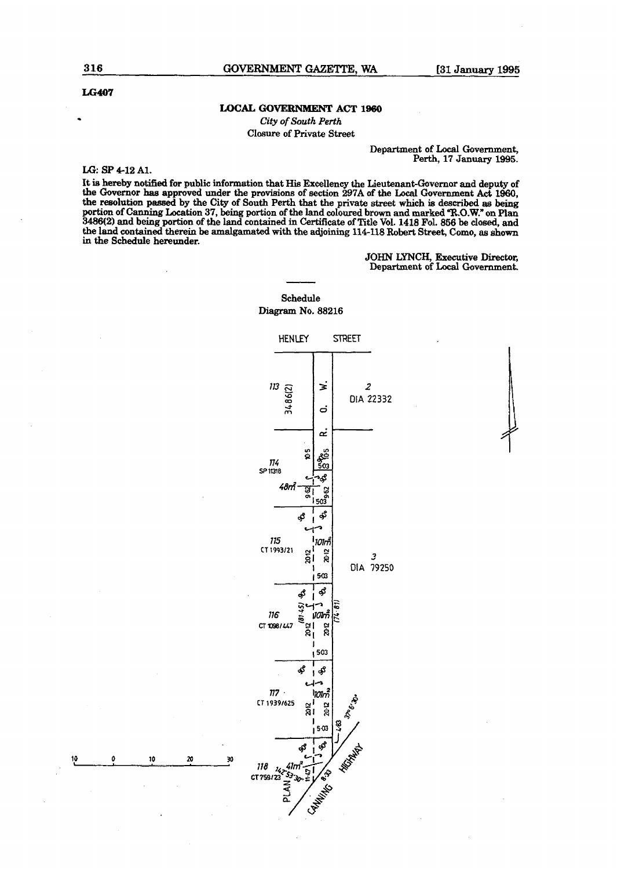#### **LOCAL GOVERNMENT ACT lssO**

*City* **of** *South Perth*  **Closure of Private Street** 

#### **Department of Local Government, Perth, 17 January 1945.**

#### **LG: SP 4-12 Al.**

Ó

10

It is hereby notified for public information that His Excellency the Lieutenant-Governor and deputy of the Governor has approved under the provisions of section 297A of the Local Government Act 1960, **the m1ution passed by the City of South Perth that the private street which is described as being portion of Canning Location 37, being portion ofthe land coloured brown and marked "R.O.W." on Plan 3486(2) and being portion of the land contained in Certificate of Title Vol. 1418 Fol. 856 be dosed, and the land contained** therein **be amalgamated with the adjoining 114-118 Robert Street, Como, as shown in the Schedule hereunder.** 

> **JOHN LYNCH, Executive Director, Department of Local Government.**



**Schedule Diagram No. 88216**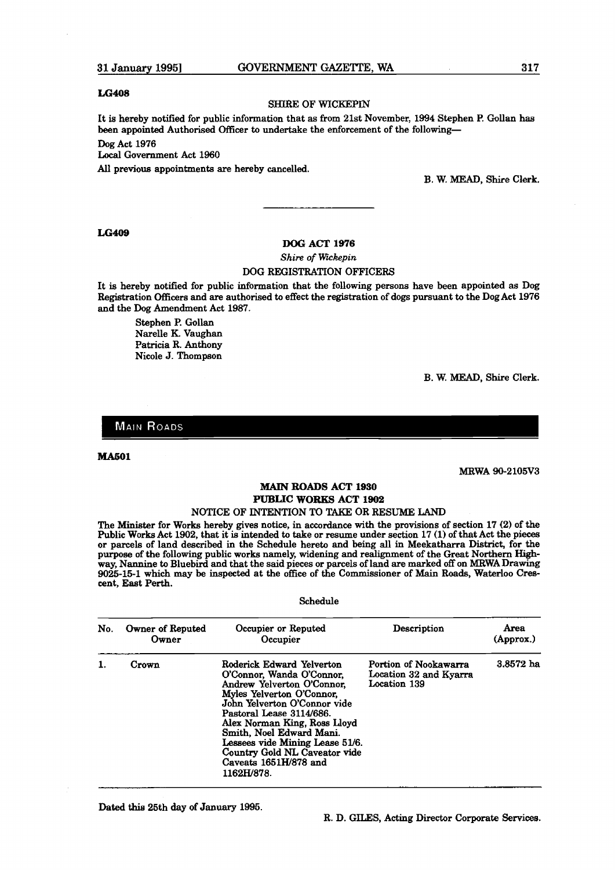#### SHIRE OF WICKEPIN

It is hereby notitled for public information that **as** from 21st November, 1994 Stephen **P.** Gollan has been appointed Authorised Officer to undertake the enforcement of the following-

**Dog** Act 1976

Local Government Act 1960

**AU** previous appointments are hereby cancelled.

B. W. MEAD, Shire Clerk.

#### **LG409**

#### **DOG ACT 1976**

 $Shire$  of Wickepin

#### DOG REGISTRATION OFFICERS

It is hereby notified for public information that the following persons have been appointed as Dog Registration Officers and are authorised to effect the registration of dogs pursuant to the Dog Act 1976 and the Dog Amendment Act 1987.

Stephen P. Gollan Narelle K. Vaughan Patricia R. Anthony Nicole J. Thompson

B. W. MEAD, Shire Clerk.

**MAIN ROADS** 

**MA601** 

MRWA 90-2105V3

#### **MAIN ROADS ACT 1930 PUBLIC WORKS ACT 1902**

#### NOTICE OF INTENTION TO **TAKE** OR RESUME LAND

The Minister for Works hereby gives notice, in accordance with the provisions of section 17 (2) of the Public Works Act 1902, that it is intended to take or resume under section 17 (1) of that Act the pieces or parcels of land described in the Schedule hereto and being all in Meekatharra District, for the purpose of the following public works namely, widening and realignment of the Great Northern Highway, Nannine to Bluebird and that the said pieces or parcels of land are marked off on MRWADrawing 9025-15-1 which may be inspected at the office of the Commissioner of Main **Roads, Waterloo** Crescent, East Perth.

#### Schedule

| No. | Owner of Reputed<br>Owner | Occupier or Reputed<br>Occupier                                                                                                                                                                                                                                                                                                                      | Description                                                     | Area<br>(Approx.) |
|-----|---------------------------|------------------------------------------------------------------------------------------------------------------------------------------------------------------------------------------------------------------------------------------------------------------------------------------------------------------------------------------------------|-----------------------------------------------------------------|-------------------|
|     | Crown                     | Roderick Edward Yelverton<br>O'Connor, Wanda O'Connor,<br>Andrew Yelverton O'Connor.<br>Myles Yelverton O'Connor,<br>John Yelverton O'Connor vide<br>Pastoral Lease 3114/686.<br>Alex Norman King, Ross Lloyd<br>Smith, Noel Edward Mani.<br>Lessees vide Mining Lease 51/6.<br>Country Gold NL Caveator vide<br>Caveats 1651H/878 and<br>1162H/878. | Portion of Nookawarra<br>Location 32 and Kyarra<br>Location 139 | $3.8572$ ha       |

Dated this 25th day of January 1995.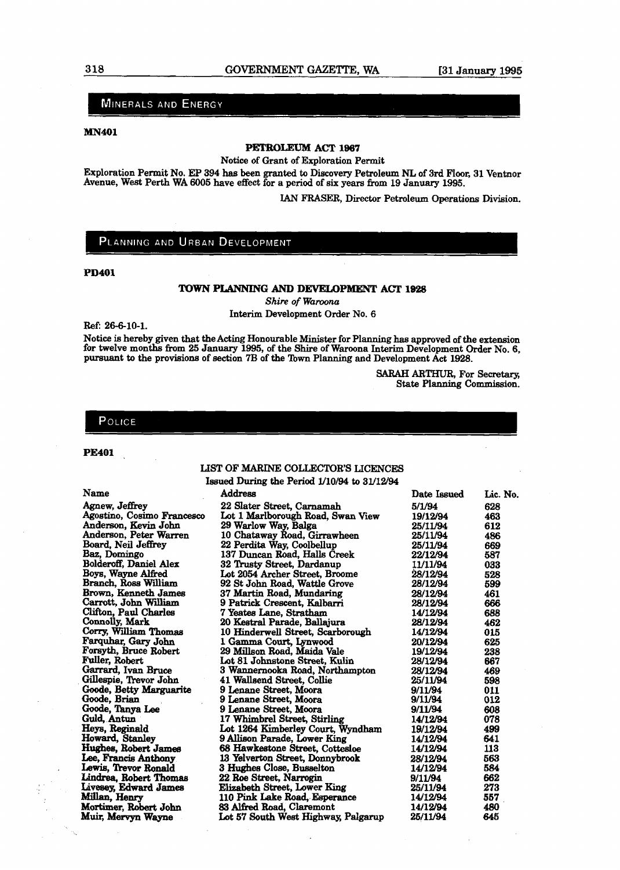# MINERALS AND ENERGY

#### **MN401**

# PETROLEUM ACT 1967

Notice of Grant of Exploration Permit

Exploration Permit No. EP 394 has been granted to Discovery Petroleum NL of 3rd Floor, 31 Ventnor Avenue, Notice of Grant of Exploration Permit<br>
Rightarm Permit No. EP 394 has been granted to Discovery Petroleum NL of 3rd Floor,<br>
Avenue, West Perth WA 6005 have effect for a period of six years from 19 January 1995.

IAN FRASER, Director Petroleum Operations Division.

## PLANNING AND URBAN DEVELOPMENT

#### **PD401**

#### **TOWN PLANNING AND DEVELOPMENT ACT. 1928**

**Shire of Waroona** Interim Development Order No. 6

**Ref: 26-6-10-1.** 

Notice **is** hereby given that the Acting Honourable Minister for Planning **has** approved of the extension for twelve months from **25** January **1995,** of the Shire of Waroona Interim Development Order No. 6, pursuant to the provisions of section 7B of the Town Planning and Development Act 1928.

> **SARAH ARTHUR, For Secretary,** State Planning Commission.

#### POLICE

#### **PE401**

## LIST OF MARINE COLLECTOR'S LICENCES

Issued During the Period  $1/10/94$  to  $31/12/94$ 

| Name                       | Address                             | Date Issued | Lic. No. |
|----------------------------|-------------------------------------|-------------|----------|
| Agnew, Jeffrey             | 22 Slater Street, Carnamah          | 5/1/94      | 628      |
| Agostino, Cosimo Francesco | Lot 1 Marlborough Road, Swan View   | 19/12/94    | 463      |
| Anderson, Kevin John       | 29 Warlow Way, Balga                | 25/11/94    | 612      |
| Anderson, Peter Warren     | 10 Chataway Road, Girrawheen        | 25/11/94    | 486      |
| Board, Neil Jeffrey        | 22 Perdita Way, Coolbellup          | 25/11/94    | 669      |
| Baz, Domingo               | 137 Duncan Road, Halls Creek        | 22/12/94    | 587      |
| Bolderoff, Daniel Alex     | 32 Trusty Street, Dardanup          | 11/11/94    | 033      |
| Boys, Wayne Alfred         | Lot 2054 Archer Street, Broome      | 28/12/94    | 528      |
| Branch, Ross William       | 92 St John Road, Wattle Grove       | 28/12/94    | 599      |
| Brown, Kenneth James       | 37 Martin Road, Mundaring           | 28/12/94    | 461      |
| Carrott, John William      | 9 Patrick Crescent, Kalbarri        | 28/12/94    | 666      |
| Clifton, Paul Charles      | 7 Yeates Lane, Stratham             | 14/12/94    | 688      |
| Connolly, Mark             | 20 Kestral Parade, Ballajura        | 28/12/94    | 462      |
| Corry, William Thomas      | 10 Hinderwell Street, Scarborough   | 14/12/94    | 015      |
| Farquhar, Gary John        | 1 Gamma Court, Lynwood              | 20/12/94    | 625      |
| Forsyth, Bruce Robert      | 29 Millson Road, Maida Vale         | 19/12/94    | 238      |
| Fuller, Robert             | Lot 81 Johnstone Street, Kulin      | 28/12/94    | 667      |
| Garrard, Ivan Bruce        | 3 Wannernooka Road, Northampton     | 28/12/94    | 469      |
| Gillespie, Trevor John     | 41 Wallsend Street, Collie          | 25/11/94    | 598      |
| Goode, Betty Marguarite    | 9 Lenane Street, Moora              | 9/11/94     | 011      |
| Goode, Brian               | 9 Lenane Street, Moora              | 9/11/94     | 012      |
| Goode, Tanya Lee           | 9 Lenane Street, Moora              | 9/11/94     | 608      |
| Guld, Antun                | 17 Whimbrel Street, Stirling        | 14/12/94    | 078      |
| Heys, Reginald             | Lot 1264 Kimberley Court, Wyndham   | 19/12/94    | 499      |
| Howard, Stanley            | 9 Allison Parade, Lower King        | 14/12/94    | 641      |
| Hughes, Robert James       | 68 Hawkestone Street, Cottesloe     | 14/12/94    | 113      |
| Lee, Francis Anthony       | 13 Yelverton Street, Donnybrook     | 28/12/94    | 563      |
| Lewis, Trevor Ronald       | 3 Hughes Close, Busselton           | 14/12/94    | 584      |
| Lindrea, Robert Thomas     | 22 Roe Street, Narrogin             | 9/11/94     | 662      |
| Livesey, Edward James      | Elizabeth Street, Lower King        | 25/11/94    | 273      |
| Millan, Henry              | 110 Pink Lake Road, Esperance       | 14/12/94    | 557      |
| Mortimer, Robert John      | 83 Alfred Road, Claremont           | 14/12/94    | 480      |
| Muir, Mervyn Wayne         | Lot 57 South West Highway, Palgarup | 25/11/94    | 645      |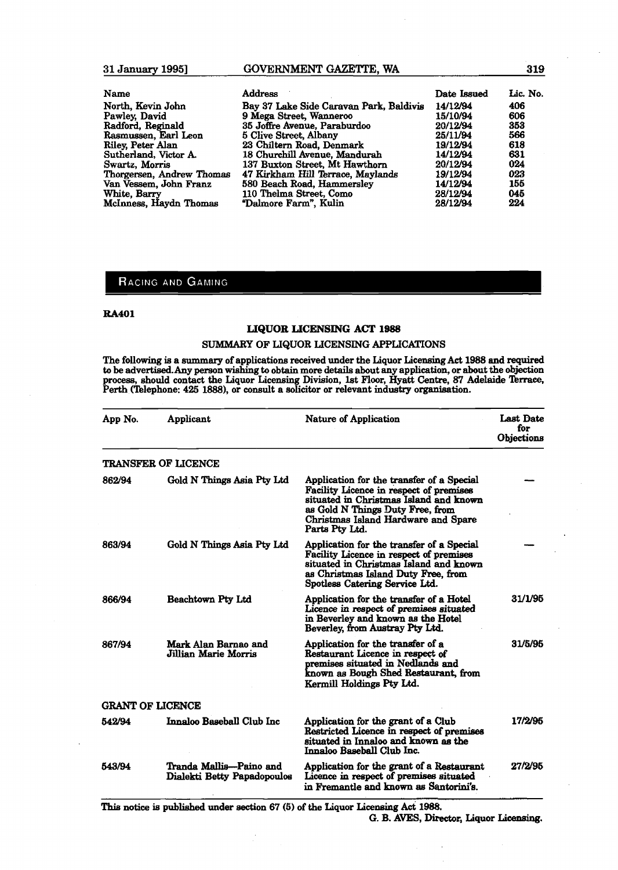# **GOVERNMENT GAZETTE. WA**

| Name                      | <b>Address</b>                          | Date Issued | Lic. No. |
|---------------------------|-----------------------------------------|-------------|----------|
| North, Kevin John         | Bay 37 Lake Side Caravan Park, Baldivis | 14/12/94    | 406      |
| Pawley, David             | 9 Mega Street, Wanneroo                 | 15/10/94    | 606      |
| Radford, Reginald         | 35 Joffre Avenue, Paraburdoo            | 20/12/94    | 353      |
| Rasmussen, Earl Leon      | 5 Clive Street, Albany                  | 25/11/94    | 566      |
| Riley, Peter Alan         | 23 Chiltern Road, Denmark               | 19/12/94    | 618      |
| Sutherland, Victor A.     | 18 Churchill Avenue, Mandurah           | 14/12/94    | 631      |
| Swartz, Morris            | 137 Buxton Street, Mt Hawthorn          | 20/12/94    | 024      |
| Thorgersen, Andrew Thomas | 47 Kirkham Hill Terrace, Maylands       | 19/12/94    | 023      |
| Van Vessem, John Franz    | 580 Beach Road, Hammersley              | 14/12/94    | 155      |
| White, Barry              | 110 Thelma Street, Como                 | 28/12/94    | 045      |
| McInness, Haydn Thomas    | "Dalmore Farm", Kulin                   | 28/12/94    | 224      |

# RACING AND GAMING

31 January 1995]

#### **RA401**

#### **LIQUOR LICENSING ACT 1988**

#### SUMMARY OF LIQUOR LICENSING APPLICATIONS

The following **is** a summary of applications received under the Liquor Licensing **Act** 1988 and **required**  to be advertised. Any person wishing to obtain more details about any application, or about the objection<br>process, should contact the Liquor Licensing Division, 1st Floor, Hyatt Centre, 87 Adelaide Terrace, Perth (Telephone: 425 1888), or consult a solicitor or relevant industry organisation.

| App No. | Applicant                                              | <b>Nature of Application</b>                                                                                                                                                                                                | Last Date<br>for<br>Objections |
|---------|--------------------------------------------------------|-----------------------------------------------------------------------------------------------------------------------------------------------------------------------------------------------------------------------------|--------------------------------|
|         | <b>TRANSFER OF LICENCE</b>                             |                                                                                                                                                                                                                             |                                |
| 862/94  | Gold N Things Asia Pty Ltd                             | Application for the transfer of a Special<br>Facility Licence in respect of premises<br>situated in Christmas Island and known<br>as Gold N Things Duty Free, from<br>Christmas Island Hardware and Spare<br>Parts Pty Ltd. |                                |
| 863/94  | Gold N Things Asia Pty Ltd                             | Application for the transfer of a Special<br>Facility Licence in respect of premises<br>situated in Christmas Island and known<br>as Christmas Island Duty Free, from<br>Spotless Catering Service Ltd.                     |                                |
| 866/94  | Beachtown Pty Ltd                                      | Application for the transfer of a Hotel<br>Licence in respect of premises situated<br>in Beverley and known as the Hotel<br>Beverley, from Austray Pty Ltd.                                                                 | 31/1/95                        |
| 867/94  | Mark Alan Barnao and<br>Jillian Marie Morris           | Application for the transfer of a<br>Restaurant Licence in respect of<br>premises situated in Nedlands and<br>known as Bough Shed Restaurant, from<br>Kermill Holdings Pty Ltd.                                             | 31/5/95                        |
|         | <b>GRANT OF LICENCE</b>                                |                                                                                                                                                                                                                             |                                |
| 542/94  | Innaloo Baseball Club Inc                              | Application for the grant of a Club<br>Restricted Licence in respect of premises<br>situated in Innaloo and known as the<br>Innaloo Baseball Club Inc.                                                                      | 17/2/95                        |
| 543/94  | Tranda Mallis—Paino and<br>Dialekti Betty Papadopoulos | Application for the grant of a Restaurant<br>Licence in respect of premises situated<br>in Fremantle and known as Santorini's.                                                                                              | 27/2/95                        |

**This notice** is published mdex aection 67 (5) of the Liquor **Licensing** Act **1988.** 

#### G. B. AVES, Director, Liquor Licensing.

l.

#### 319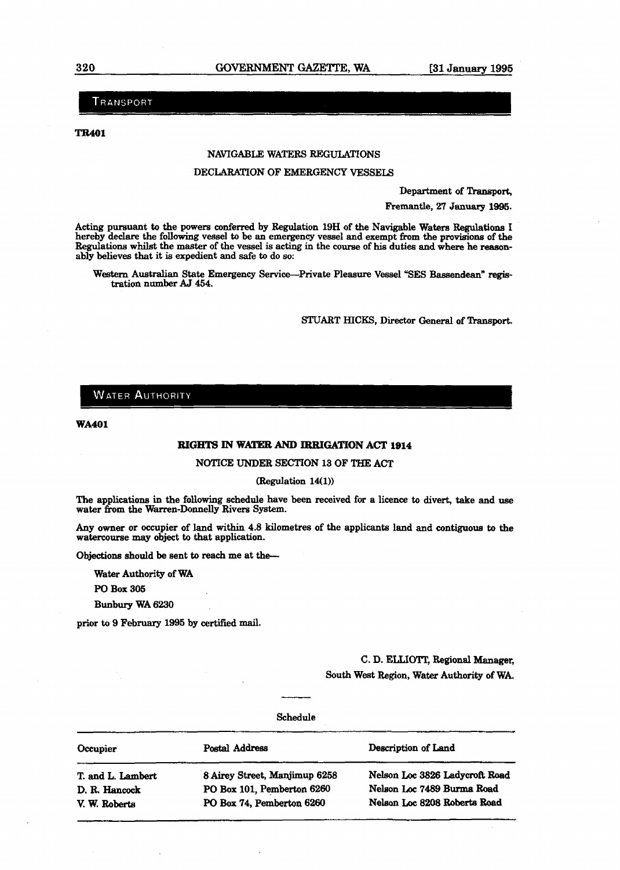TRANSPORT

**TR401** 

#### NAVIGABLE WATERS REGULATIONS

#### **DECLARATION OF EMERGENCY VESSELS**

Department of Transport,

Fremantle, 27 January 1995.

Acting pursuant to the powers conferred by Regulation 19H of the Navigable **Waters** Regulations I hereby declare the following vessel to be an emergency vessel and exempt **from** the **proviaions** of the Regulations whilst the master of the vessel is acting in the course of **his** duties and **where he** reasonably believea that it is expedient and **safe** to do so:

Western Australian State Emergency Service-Private Pleasure Vessel "SES Bassendean" registration number **AJ 454.** 

STUART HICKS, Director General of Transport.

#### **WATER AUTHORITY**

**WA401** 

# **RIGHTS IN WATER AND IRRIGATION ACT 1914**

NOTICE **UNDER** SECTION 13 OF **THE** ACT

#### $(Regularion 14(1))$

The applications in the following schedule have been received for a licence to divert, take and **use**  water from the Warren-Donnelly Rivers System.

Any owner or occupier of land within 4.8 kilometres of the applicants land and contiguous to **the**  watercourse may object to that application.

Objections should be sent to reach me at the-

**Water** Authority of WA

PO Box 305

**Bunbury** WA **6230** 

**prior to 9 February** 1995 by certified mail.

C. D. **EUIOTZ,** Regional Manager, South West Region, **Water Authority** of WA.

#### Schedule

| Occupier          | Postal Address                | Description of Land            |
|-------------------|-------------------------------|--------------------------------|
| T. and L. Lambert | 8 Airey Street, Manjimup 6258 | Nelson Loc 3826 Ladycroft Road |
| D. R. Hancock     | PO Box 101, Pemberton 6260    | Nelson Loc 7489 Burma Road     |
| V. W. Roberts     | PO Box 74, Pemberton 6260     | Nelson Loc 8208 Roberts Road   |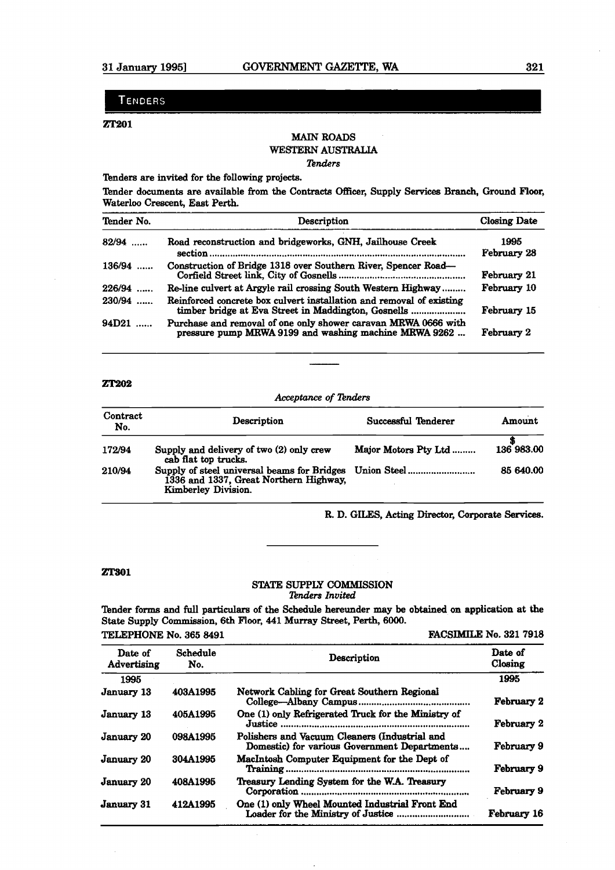#### **TENDERS**

#### ZT201

# **MAIN** ROADS **WESTERN AUSTRALIA**

#### $Tenders$

Tenders are invited for the following projects.

Tender documents are available from the Contracts Officer, Supply Services Branch, Ground Floor, Waterloo Crescent, East Perth.

| Tender No.              | Description                                                                                                                 | Closing Date        |
|-------------------------|-----------------------------------------------------------------------------------------------------------------------------|---------------------|
| $82/94$                 | Road reconstruction and bridgeworks, GNH, Jailhouse Creek                                                                   | 1995<br>February 28 |
| 136/94                  | Construction of Bridge 1318 over Southern River, Spencer Road—                                                              | February 21         |
| 226/94                  | Re-line culvert at Argyle rail crossing South Western Highway                                                               | February 10         |
| 230/94                  | Reinforced concrete box culvert installation and removal of existing<br>timber bridge at Eva Street in Maddington, Gosnells | February 15         |
| 94D21<br>$\overline{1}$ | Purchase and removal of one only shower caravan MRWA 0666 with<br>pressure pump MRWA 9199 and washing machine MRWA 9262     | February 2          |

#### **ZT202**

*Acceptance* **of** *2hders* 

| Contract<br>No. | Description                                                                                                              | Successful Tenderer  | Amount     |
|-----------------|--------------------------------------------------------------------------------------------------------------------------|----------------------|------------|
| 172/94          | Supply and delivery of two (2) only crew<br>cab flat top trucks.                                                         | Major Motors Pty Ltd | 136 983.00 |
| 210/94          | Supply of steel universal beams for Bridges Union Steel<br>1336 and 1337, Great Northern Highway,<br>Kimberley Division. |                      | 85 640.00  |

R. D. GILES, Acting Director, **Corporate Services.** 

#### **ZT301**

#### STATE SUPPLY COMMISSION *Pnders* **Invited**

Tender forms and full particulars of the Schedule hereunder **may** be obtained on application at the State Supply Commission, **6th** Floor, **441** Murray Street, Perth, **6000.** 

**TELEPHONE No. 365 8491 <b>FACSIMILE No. 321 7918** 

| Date of<br>Advertising | Schedule<br>No. | Description                                                                                   | Date of<br>Closing |
|------------------------|-----------------|-----------------------------------------------------------------------------------------------|--------------------|
| 1995                   |                 |                                                                                               | 1995               |
| January 13             | 403A1995        | Network Cabling for Great Southern Regional                                                   | February 2         |
| January 13             | 405A1995        | One (1) only Refrigerated Truck for the Ministry of                                           | February 2         |
| January 20             | 098A1995        | Polishers and Vacuum Cleaners (Industrial and<br>Domestic) for various Government Departments | February 9         |
| January 20             | 304A1995        | MacIntosh Computer Equipment for the Dept of                                                  | February 9         |
| January 20             | 408A1995        | Treasury Lending System for the W.A. Treasury                                                 | February 9         |
| <b>January 31</b>      | 412A1995        | One (1) only Wheel Mounted Industrial Front End                                               | February 16        |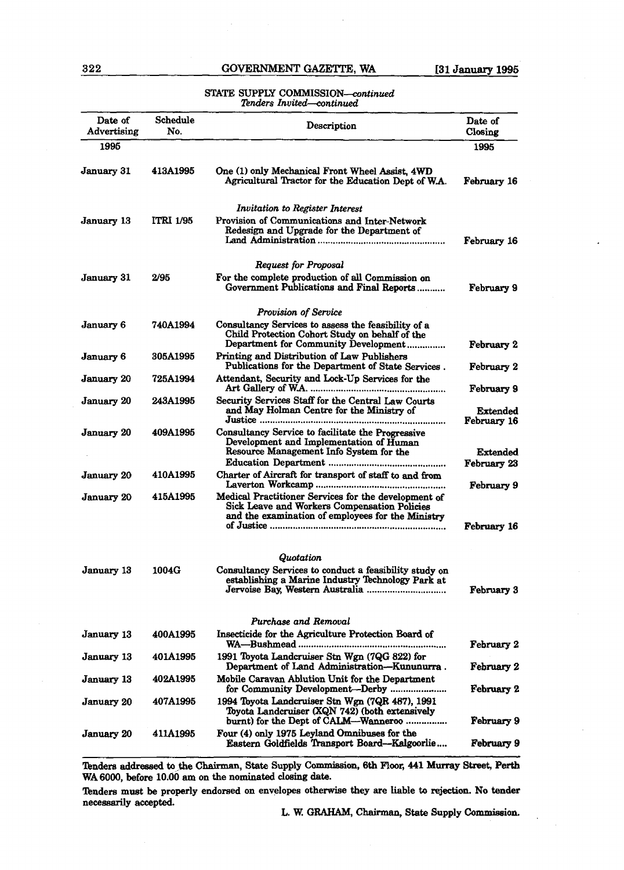# **322 GOVERNMENT GAZETTE, WA 131 January 1995**

#### STATE SUPPLY COMMISSION-continued *Iknders* Znvited-continued

| Date of<br>Advertising | Schedule<br>No.  | Description                                                                                                                                                      | Date of<br>Closing               |
|------------------------|------------------|------------------------------------------------------------------------------------------------------------------------------------------------------------------|----------------------------------|
| 1995                   |                  |                                                                                                                                                                  | 1995                             |
| January 31             | <b>413A1995</b>  | One (1) only Mechanical Front Wheel Assist, 4WD<br>Agricultural Tractor for the Education Dept of W.A.                                                           | February 16                      |
| January 13             | <b>ITRI 1/95</b> | Invitation to Register Interest<br>Provision of Communications and Inter-Network<br>Redesign and Upgrade for the Department of                                   | February 16                      |
|                        |                  | Request for Proposal                                                                                                                                             |                                  |
| January 31             | 2/95             | For the complete production of all Commission on<br>Government Publications and Final Reports                                                                    | February 9                       |
|                        |                  | Provision of Service                                                                                                                                             |                                  |
| <b>January 6</b>       | 740A1994         | Consultancy Services to assess the feasibility of a<br>Child Protection Cohort Study on behalf of the<br>Department for Community Development                    | February 2                       |
| January 6              | 305A1995         | Printing and Distribution of Law Publishers<br>Publications for the Department of State Services.                                                                | February 2                       |
| <b>January 20</b>      | 725A1994         | Attendant, Security and Lock-Up Services for the                                                                                                                 | February 9                       |
| January 20             | <b>243A1995</b>  | Security Services Staff for the Central Law Courts<br>and May Holman Centre for the Ministry of<br>                                                              | Extended<br>February 16          |
| January 20             | 409A1995         | Consultancy Service to facilitate the Progressive<br>Development and Implementation of Human<br>Resource Management Info System for the                          | Extended<br>February 23          |
| <b>January 20</b>      | <b>410A1995</b>  | Charter of Aircraft for transport of staff to and from                                                                                                           |                                  |
| <b>January 20</b>      | 415A1995         | Medical Practitioner Services for the development of<br><b>Sick Leave and Workers Compensation Policies</b><br>and the examination of employees for the Ministry | February 9<br><b>February 16</b> |
|                        |                  |                                                                                                                                                                  |                                  |
|                        |                  | Quotation                                                                                                                                                        |                                  |
| January 13             | 1004G            | Consultancy Services to conduct a feasibility study on<br>establishing a Marine Industry Technology Park at                                                      | February 3                       |
|                        |                  | Purchase and Removal                                                                                                                                             |                                  |
| January 13             | <b>400A1995</b>  | Insecticide for the Agriculture Protection Board of                                                                                                              | February 2                       |
| January 13             | 401A1995         | 1991 Toyota Landcruiser Stn Wgn (7QG 822) for<br>Department of Land Administration-Kununurra.                                                                    | February 2                       |
| <b>January</b> 13      | 402A1995         | Mobile Caravan Ablution Unit for the Department                                                                                                                  | February 2                       |
| January 20             | 407A1995         | 1994 Toyota Landcruiser Stn Wgn (7QR 487), 1991<br>Toyota Landcruiser (XQN 742) (both extensively<br>burnt) for the Dept of CALM—Wanneroo                        | February 9                       |
| January 20             | 411A1995         | Four (4) only 1975 Leyland Omnibuses for the<br>Eastern Goldfields Transport Board—Kalgoorlie                                                                    | February 9                       |

Tenders addressed to the Chairman, State Supply Commission, 6th Floor, 441 Murray Street, Perth WA 6000, before 10.00 am on the nominated closing date.

Tenders must be properly endorsed on envelopes otherwise they are liable to rejection. No tender necessarily accepted.

L. W. GRAHAM, Chairman, State Supply Commission.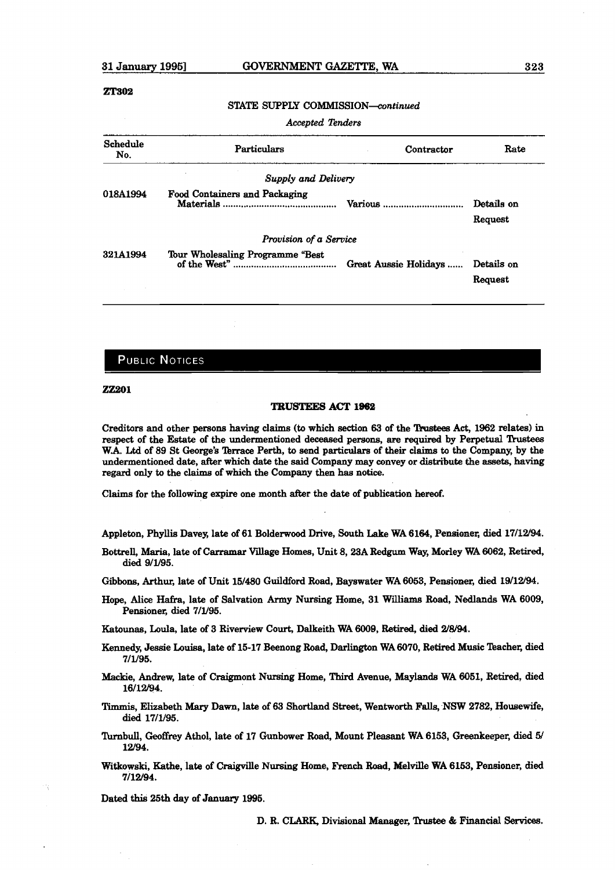#### **ZT302**

#### STATE SUPPLY *COMMISSION-ontinued*

Accepted **22nders** 

| Schedule<br>No. | <b>Particulars</b>                   | Contractor            | Rate                  |
|-----------------|--------------------------------------|-----------------------|-----------------------|
|                 | Supply and Delivery                  |                       |                       |
| 018A1994        | <b>Food Containers and Packaging</b> | Various               | Details on<br>Request |
|                 | Provision of a Service               |                       |                       |
| 321A1994        | Tour Wholesaling Programme "Best     | Great Aussie Holidays | Details on<br>Request |

## **PUBLIC NOTICES**

**ZZ201** 

#### **TRUSTEES ACT 1962**

Creditors and other persons having claims **(to** which section 63 of the Tkrstees Act, 1962 relates) in respect of the Estate of the undermentioned deceased persons, are required by Perpetual Trustees W.A. Ltd of 89 St George's Terrace Perth, to send particulars of their claims to the Company, by the undermentioned date, after which date the said Company **may** convey or **distribute** the **assets, having**  regard only to the claims of which the Company then has notice.

*Claims* for the following expire one month after the date of publication **laemf.** 

Appleton, Phyllis Davey, late of 61 Bolderwood Drive, South Lake WA 6164, Pensioner, died 17/12/94

Bottrell, **Maria,** late of Carramar Village Homes, Unit 8,23A **Redgum** Way, **Morley** WA 6062, Retired, died 9/1/95.

Gibbons, Arthur, late of Unit 15/480 Guildford Road, Bayswater WA 6053, Pensioner, died 19/12/94.

Hope, **Alice** Hafra, late of Salvation **Army** Nursing Home, 31 Willianw Road, **Nedlands** WA 6009, Pensioner, died 7/l/95.

**Katounas,** Loula, late **of** 3 Riverview Court, Dalkeith WA 6009, **Retired,** died **2/8/94.** 

- **Kemedy,** Jessie **Loud,** late of 15-17 Beenong Road, Darlington WA6070, **Retired** Music **Tbacher, died**  7/l/95.
- hidie, Andrew, late of Craigmont Nursing Home, Third Avenue, **Maylande** WA **6051, Retired, died**  16/12/94.
- **Timmis,** Elizabeth **Mary** Dawn, late of 63 Shortland Street, Wentworth Falls, **NSW** 2782, Housewife, **did** 17/1/95.
- **kbd, Geoffrey** Athol, late of 17 Gunbower Road, Mount Pleasant WA 6153, **Greenkeeper,** died **5/**  12/94.
- Witkowski, **We,** late of **Craigville** Nursing Home, **F'rench** Road, lbaelville WA 6153, Pensioner, **died**  7/12/94.

Dated **this 26th day** of **January 1996.** 

D. R. CUR& Divisional **Manager, lkwtee** & **Financial** Services.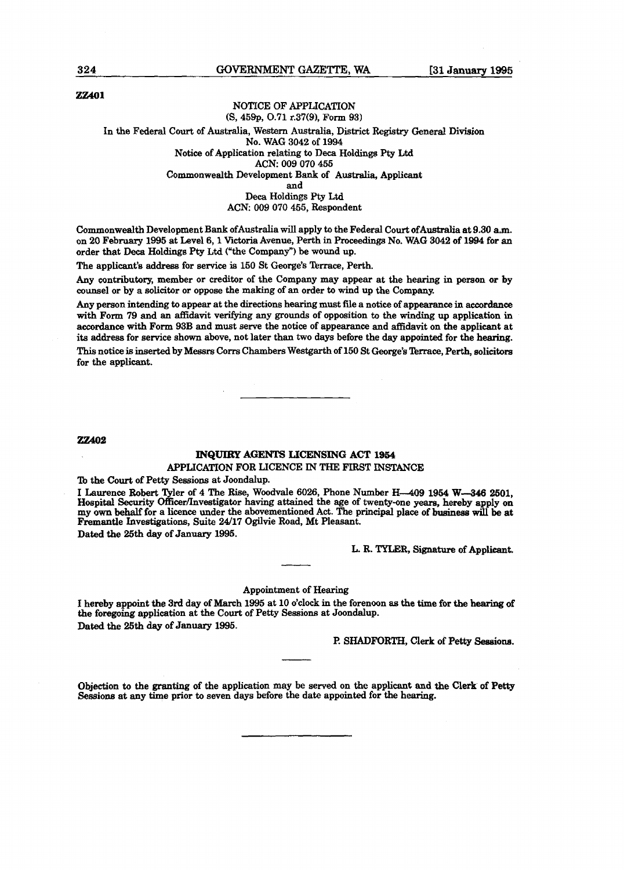#### **22x01**

#### NOTICE OF APPLICATION **(S,** 459p, **0.71** r.37(9), Form **93)**

#### In the Federal Court of Australia, Western Australia, District **Registry** General Division No. WAG **3042** of 1994 Notice of Application relating to **Deca** Holdings **Pty LM ACN: 009 070 455**  Commonwealth Development **Bank** of Australia, Applicant and Deca Holdings **Pty Ltd**  ACN: **009 070** 455, Respondent

Commonwdth Development Bank ofAustralia will apply to the Federal Court ofAustralia at **9.30** am. on **20** February **1995** at Level 6,1 Vidoria Avenue, Perth in Proceedings No. WAG 3042 of **1994** for an order that **Deca** Holdings **Pty Ltd** ("the Company") be wound up.

The applicant's address for service is 150 St George's Terrace, Perth.

**Any** contributory, member or **creditor** of the Company may appear at the hearing in person or by counsel or by a solicitor or oppose the making of an order to wind up **the** Company.

**Any** person intending to appear at the directions hearing must **file** a notice of appearance in **accordance**  with Form **79** and an affidavit verifying any grounds of opposition to the winding up application in accordance with Form 93B and must serve the notice of appearance and affidavit on the applicant at its address for service shown above, not later than two days before the day appointed for the hearing.

**This** notice is inserted by Messrs Corn Chambers Westgarth of **150** St George's **Terrace,** Perth, solicitors for the applicant.

**22402** 

## **INQUIRY AGENTS LICENSING** ACT **l954**  APPLICATION FOR LICENCE IN **THE** FIRST **INSTANCE**

'b the Court of Petty Sessions at Joondalup.

I Laurence Robert Tyler of 4 The Rise, Woodvale 6026, Phone Number H-409 1954 W-346 2501, Hospital **Security** Officer/Investigator **having** attained the age of twenty-one **yeam,** hereby apply on my own behalf for a **licence** under the abovementioned Act. The principal place of business **will** be at Fremantle Investigations, Suite **24/17** Ogilvie Road, Mt Pleasant.

Dated the 25th day of January **1995.** 

L. R. **TYLER,** Signature of Applicant.

Appointment of Hearing

I hereby appoint the **3rd** day of March 1995 at 10 o'clock in the forenoon **as** the **time** for **the hearing** of the foregoing application at the Court of Petty Sessions at Joondalup. Dated the 25th day of **January** 1995.

**P. SHADFORTH, Clerk** of **Petty Sesaioae.** 

Objection to the granting of the application may be served on the applicant and the Clerk of Petty Sessions at any time prior to seven days before the date appointed for the hearing.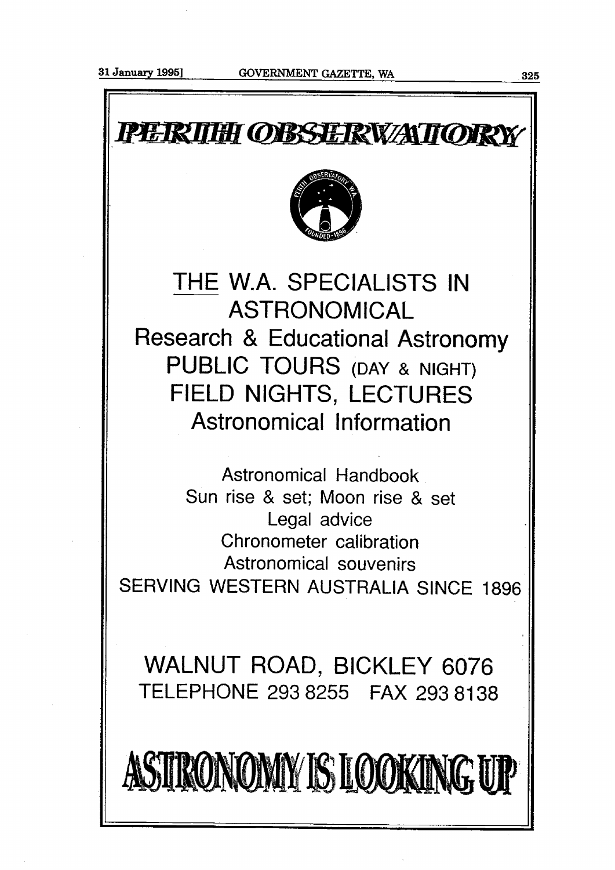PERIHI OBSERVATIORY THE W.A. SPECIALISTS IN ASTRONOMICAL Research & Educational Astronomy PUBLIC TOURS (DAY & NIGHT) FIELD NIGHTS, LECTURES Astronomical Information Astronomical Handbook Sun rise & set; Moon rise & set Legal advice Chronometer calibration Astronomical souvenirs SERVING WESTERN AUSTRALIA SINCE 1896

WALNUT ROAD, BICKLEY 6076 TELEPHONE 293 8255 FAX 293 81 **38** 

ASTRONOMY IS LOOKING UP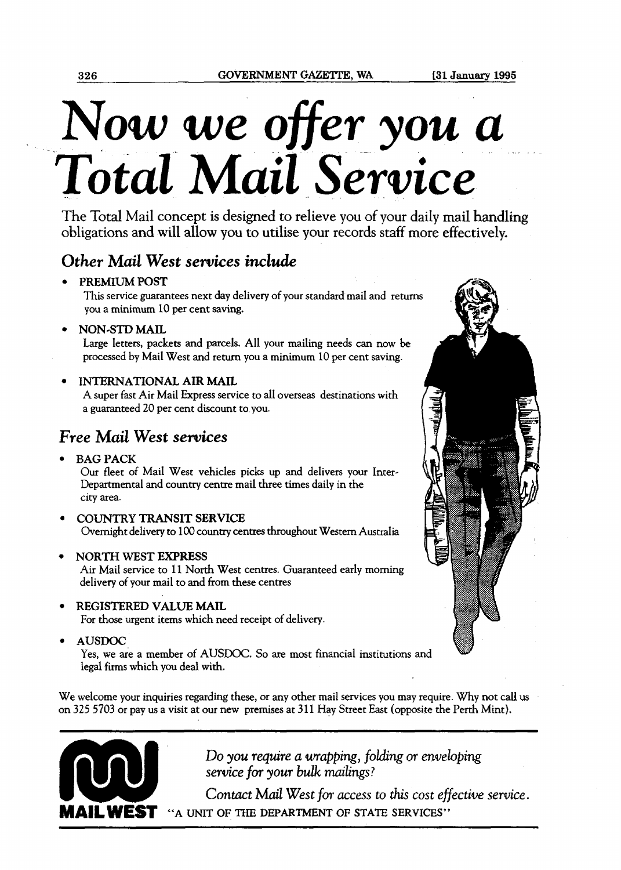# Now we *ofier* you *a*  **Total** *Mail Service*

The Total Mail concept is designed to relieve you of your daily mail handling obligations and will allow you to utilise your records staff more effectively.

# *Other Mail West services include*

# **PREMIUM POST**

**This** service guarantees next day delivery of your standard mail and retun you a minimum 10 per cent saving.

**NON-STD MAIL** 

Large letters, packets and parcels. All your mailing needs **can** now be processed by Mail West and return you a minimum 10 per cent saving.

# **INTERNATIONAL AIR MAIL**

A super fast Air Mail Express service to all overseas destinations with a guaranteed 20 per cent discount to.you.

# *?ee* **Mail** *West services*

**BAG PACK** 

Our fleet of Mail West vehicles picks up and delivers your Inter-Departmental and country centre mail three times daily in the city area.

**COUNTRY TRANSIT SERVICE**  Overnight delivery to 100 **country** centres throughout Western Australia

# **NORTH WEST EXPRESS**

Air Mail service to 11 North West centres. Guaranteed early morning delivery of your mail to and from these centres

- **REGISTERED VALUE MAIL** 
	- For those urgent items which need receipt of delivery.
- **AUSDOC**

Yes, we are a member of AUSDOC. So are most financial institutions and legal firms which you deal with.

We welcome your inquiries regarding **these,** or any other mail services you may require. Why not call us on 325 5703 or pay us a visit at our new premises at 311 Hay Street East (opposite the Perth Mint).

<u>P Provincial de la Partide de la Partide de la Partide de la Partide de la Partide de la Partide de la Partide </u>



Do **you** *require* **a** wrapping, foldrng **or** *enveloping*  **service** for **your** *bulk milings* ?

Contact Mail West for access to this cost effective service. **MAIL WEST "A UNIT OF THE DEPARTMENT OF STATE SERVICES"** 

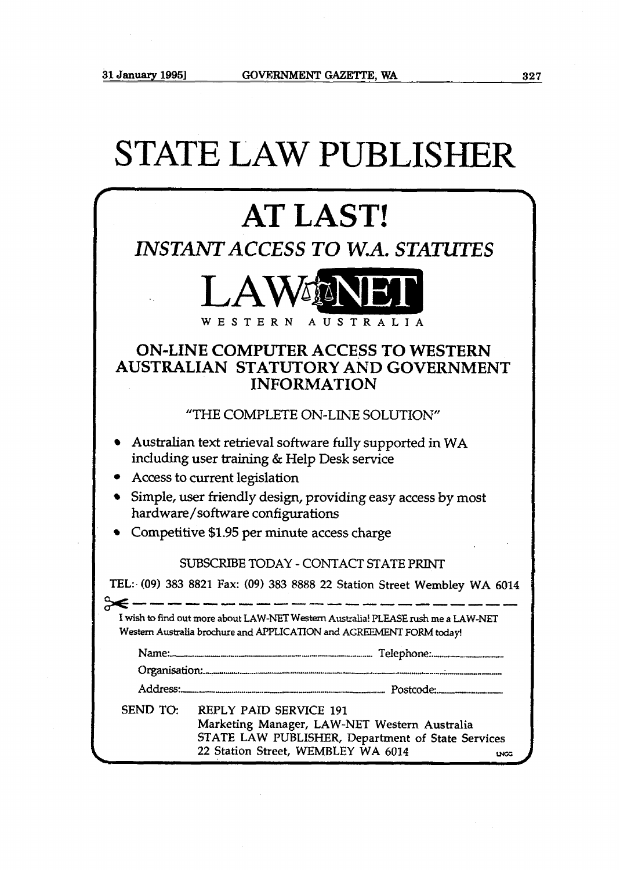$\hat{\mathcal{A}}$ 

|          | <b>STATE LAW PUBLISHER</b>                                                                                                                                                      |
|----------|---------------------------------------------------------------------------------------------------------------------------------------------------------------------------------|
|          | <b>AT LAST!</b>                                                                                                                                                                 |
|          | <b>INSTANT ACCESS TO W.A. STATUTES</b>                                                                                                                                          |
|          | LAWMNEI<br>WESTERN<br>AUSTRALIA                                                                                                                                                 |
|          | <b>ON-LINE COMPUTER ACCESS TO WESTERN</b><br>AUSTRALIAN STATUTORY AND GOVERNMENT<br><b>INFORMATION</b>                                                                          |
|          | "THE COMPLETE ON-LINE SOLUTION"                                                                                                                                                 |
|          | • Australian text retrieval software fully supported in WA<br>including user training & Help Desk service<br>• Access to current legislation                                    |
|          | Simple, user friendly design, providing easy access by most<br>hardware/software configurations                                                                                 |
|          | Competitive \$1.95 per minute access charge                                                                                                                                     |
|          | SUBSCRIBE TODAY - CONTACT STATE PRINT                                                                                                                                           |
|          | TEL: (09) 383 8821 Fax: (09) 383 8888 22 Station Street Wembley WA 6014                                                                                                         |
| ≽€       | I wish to find out more about LAW-NET Western Australia! PLEASE rush me a LAW-NET<br>Western Australia brochure and APPLICATION and AGREEMENT FORM today!                       |
|          |                                                                                                                                                                                 |
|          |                                                                                                                                                                                 |
|          |                                                                                                                                                                                 |
| SEND TO: | <b>REPLY PAID SERVICE 191</b><br>Marketing Manager, LAW-NET Western Australia<br>STATE LAW PUBLISHER, Department of State Services<br>22 Station Street, WEMBLEY WA 6014<br>uca |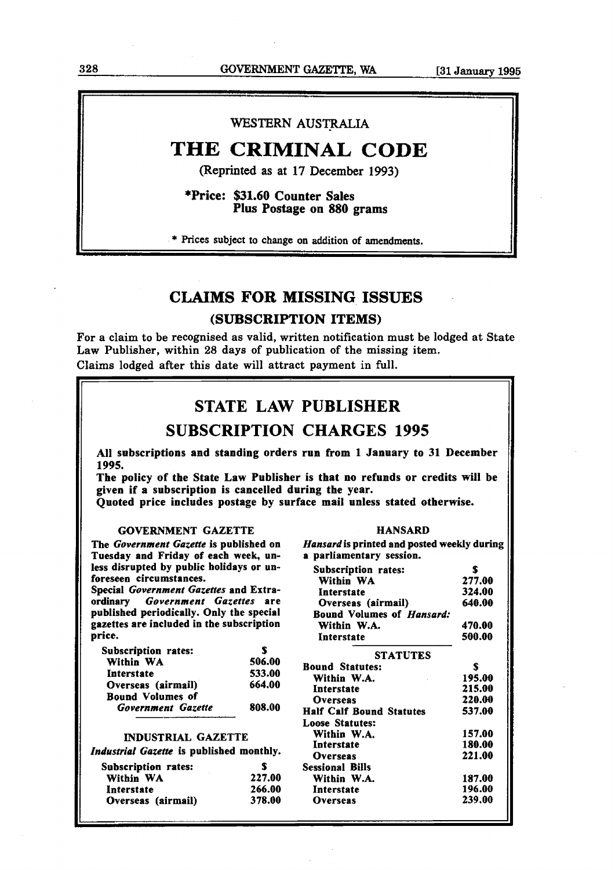# **328 OOVEIWMENT GAZETTE, WA [31** January **1995**

# WESTERN AUSTRALIA

# **THE CRIMINAL CODE**

**(Reprinted as at 17 December 1993)** 

\*Price: \$31.60 Counter Sales Plus Postage on 880 grams

\* **Prices** subject to change on addition of amendments.

# **CLAIMS FOR MISSING ISSUES**

# **(SUBSCRIPTION ITEMS)**

**For** a claim to be recognised as valid, written notification must be lodged at State Law Publisher, within 28 days of publication of the missing item. Claims lodged after this date will attract payment in full.

# STATE LAW PUBLISHER

# SUBSCRIPTION CHARGES 1995

**All subscriptions and standing orders run from 1 January to 31 December 1995.** 

**The policy of the State Law Publisher is that no refunds or credits will be given if a subscription is cancelled during the year.** 

**Quoted price includes postage by surface mail unless stated otherwise.** 

#### GOVERNMENT GAZETTE

The **Government Gazette** is published on Tuesday and Friday of each week, unless disrupted by public holidays or unforeseen circumstances.

Special **Government Gazettes** and Extraordinary **Government Gazettes** are published periodically. Only the special gazettes are included in the subscription price.

| Subscription rates:     |        |
|-------------------------|--------|
| Within WA               | 506.00 |
| Interstate              | 533.00 |
| Overseas (airmail)      | 664.00 |
| <b>Bound Volumes of</b> |        |
| Government Gazette      | 808.00 |
|                         |        |

#### INDUSTRIAL GAZETTE

| Industrial Gazette is published monthly. |  |  |  |
|------------------------------------------|--|--|--|
|------------------------------------------|--|--|--|

| <b>Subscription rates:</b> | Ŧ      |
|----------------------------|--------|
| Within WA                  | 227.00 |
| Interstate                 | 266.00 |
| Overseas (airmail)         | 378.00 |

**Hansardis** printed and posted weekly during a parliamentary session. Subscription rates: S Within WA **277.00**  Interstate **324.00**  Overseas (airmail) **640.00**  Bound Volumes of **Hansard:** 

HANSARD

| Within W.A.                     | 470.00 |
|---------------------------------|--------|
| Interstate                      | 500.00 |
| <b>STATUTES</b>                 |        |
| <b>Bound Statutes:</b>          | S      |
| Within W.A.                     | 195.00 |
| Interstate                      | 215.00 |
| <b>Overseas</b>                 | 220.00 |
| <b>Half Calf Bound Statutes</b> | 537.00 |
| <b>Loose Statutes:</b>          |        |
| Within W.A.                     | 157.00 |
| Interstate                      | 180.00 |
| <b>Overseas</b>                 | 221.00 |
| <b>Sessional Bills</b>          |        |
| Within W.A.                     | 187.00 |
| Interstate                      | 196.00 |
| Overseas                        | 239.00 |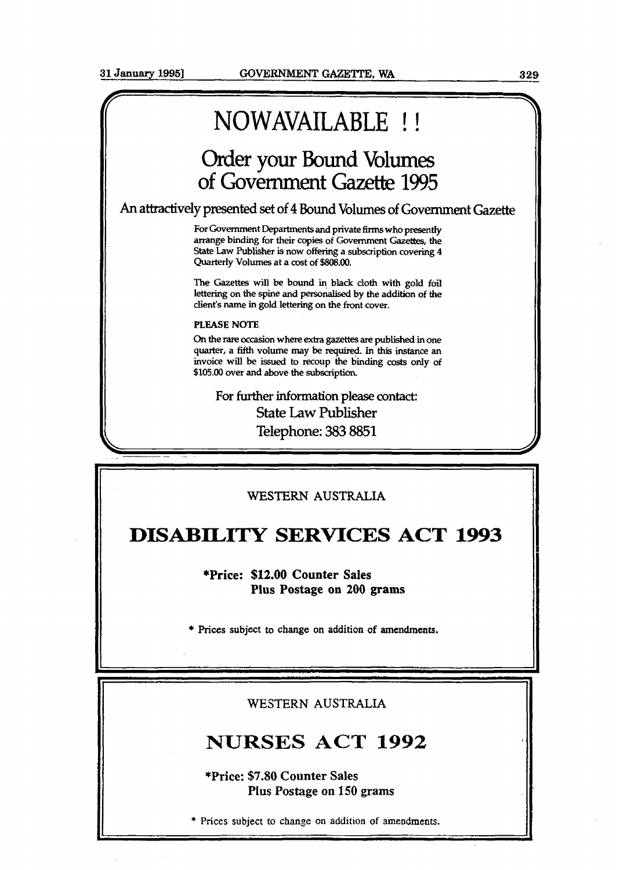# NOWAVAILABLE !!

# Order your Bound Volumes of Government Gazette **1995**

**An attractively pmented** set of **4** Bound Volumes of Government *Gazette* 

For Government Departments and private firms who presently **arrange** binding for their copies of Government **Gazettes,** the State Law Publisher is now offering a subscription covering 4 Quarterly Volumes at a cost of **\$808.00.** 

The Gazettes will be bound in black cloth with gold foil lettering on the spine and personalised **by** the addition of the client's name in gold lettering on the front cover.

#### **PLEASE NOTE**

On the rare occasion **where extra** gazettes **are** published in one quarter, a fifth volume **may** be required. In this instance an invoice **will** be issued to recoup the binding casts **only** of \$105.00 over **and** above the subscription.

**For** further information **please contact:**  State Law Publisher Telephone: 383 **8851** 

# **WESTERN AUSTRALLA**

# **DISABILITY SERVICES ACT 1993**

**\*Price: \$12.00 Counter Sales Plus Postage on 200 grams** 

\* **Prices subject to change on addition of amendments.** 

WESTERN **AUSTRALIA** 

# **NURSES ACT 1992**

**\*Price: \$7.80 Counter Sales Plus Postage on 150 grams** 

\* **Prices subject to change on addition of amendments.** I